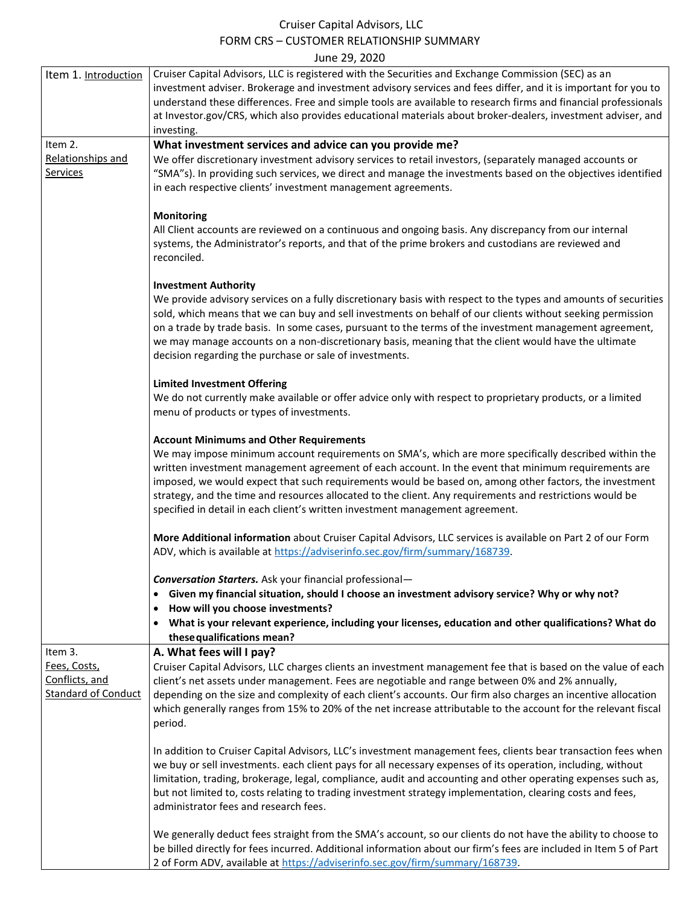## Cruiser Capital Advisors, LLC FORM CRS – CUSTOMER RELATIONSHIP SUMMARY June 29, 2020

| Item 1. Introduction                         | Cruiser Capital Advisors, LLC is registered with the Securities and Exchange Commission (SEC) as an<br>investment adviser. Brokerage and investment advisory services and fees differ, and it is important for you to<br>understand these differences. Free and simple tools are available to research firms and financial professionals<br>at Investor.gov/CRS, which also provides educational materials about broker-dealers, investment adviser, and<br>investing.                                                                                                |
|----------------------------------------------|-----------------------------------------------------------------------------------------------------------------------------------------------------------------------------------------------------------------------------------------------------------------------------------------------------------------------------------------------------------------------------------------------------------------------------------------------------------------------------------------------------------------------------------------------------------------------|
| Item 2.                                      | What investment services and advice can you provide me?                                                                                                                                                                                                                                                                                                                                                                                                                                                                                                               |
| Relationships and<br><b>Services</b>         | We offer discretionary investment advisory services to retail investors, (separately managed accounts or<br>"SMA"s). In providing such services, we direct and manage the investments based on the objectives identified<br>in each respective clients' investment management agreements.                                                                                                                                                                                                                                                                             |
|                                              | <b>Monitoring</b><br>All Client accounts are reviewed on a continuous and ongoing basis. Any discrepancy from our internal<br>systems, the Administrator's reports, and that of the prime brokers and custodians are reviewed and<br>reconciled.                                                                                                                                                                                                                                                                                                                      |
|                                              | <b>Investment Authority</b><br>We provide advisory services on a fully discretionary basis with respect to the types and amounts of securities<br>sold, which means that we can buy and sell investments on behalf of our clients without seeking permission<br>on a trade by trade basis. In some cases, pursuant to the terms of the investment management agreement,<br>we may manage accounts on a non-discretionary basis, meaning that the client would have the ultimate<br>decision regarding the purchase or sale of investments.                            |
|                                              | <b>Limited Investment Offering</b><br>We do not currently make available or offer advice only with respect to proprietary products, or a limited<br>menu of products or types of investments.                                                                                                                                                                                                                                                                                                                                                                         |
|                                              | <b>Account Minimums and Other Requirements</b><br>We may impose minimum account requirements on SMA's, which are more specifically described within the<br>written investment management agreement of each account. In the event that minimum requirements are<br>imposed, we would expect that such requirements would be based on, among other factors, the investment<br>strategy, and the time and resources allocated to the client. Any requirements and restrictions would be<br>specified in detail in each client's written investment management agreement. |
|                                              | More Additional information about Cruiser Capital Advisors, LLC services is available on Part 2 of our Form<br>ADV, which is available at https://adviserinfo.sec.gov/firm/summary/168739.                                                                                                                                                                                                                                                                                                                                                                            |
|                                              | <b>Conversation Starters.</b> Ask your financial professional-                                                                                                                                                                                                                                                                                                                                                                                                                                                                                                        |
|                                              | Given my financial situation, should I choose an investment advisory service? Why or why not?                                                                                                                                                                                                                                                                                                                                                                                                                                                                         |
|                                              | How will you choose investments?                                                                                                                                                                                                                                                                                                                                                                                                                                                                                                                                      |
|                                              | What is your relevant experience, including your licenses, education and other qualifications? What do<br>these qualifications mean?                                                                                                                                                                                                                                                                                                                                                                                                                                  |
| Item 3.                                      | A. What fees will I pay?                                                                                                                                                                                                                                                                                                                                                                                                                                                                                                                                              |
| Fees, Costs,                                 | Cruiser Capital Advisors, LLC charges clients an investment management fee that is based on the value of each                                                                                                                                                                                                                                                                                                                                                                                                                                                         |
| Conflicts, and<br><b>Standard of Conduct</b> | client's net assets under management. Fees are negotiable and range between 0% and 2% annually,<br>depending on the size and complexity of each client's accounts. Our firm also charges an incentive allocation<br>which generally ranges from 15% to 20% of the net increase attributable to the account for the relevant fiscal<br>period.                                                                                                                                                                                                                         |
|                                              | In addition to Cruiser Capital Advisors, LLC's investment management fees, clients bear transaction fees when<br>we buy or sell investments. each client pays for all necessary expenses of its operation, including, without<br>limitation, trading, brokerage, legal, compliance, audit and accounting and other operating expenses such as,<br>but not limited to, costs relating to trading investment strategy implementation, clearing costs and fees,<br>administrator fees and research fees.                                                                 |
|                                              | We generally deduct fees straight from the SMA's account, so our clients do not have the ability to choose to<br>be billed directly for fees incurred. Additional information about our firm's fees are included in Item 5 of Part<br>2 of Form ADV, available at https://adviserinfo.sec.gov/firm/summary/168739.                                                                                                                                                                                                                                                    |